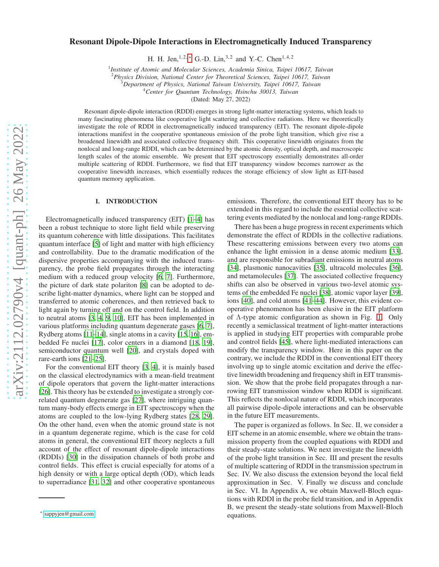# Resonant Dipole-Dipole Interactions in Electromagnetically Induced Transparency

H. H. Jen,  $1, 2, *$  G.-D. Lin,  $3, 2$  and Y.-C. Chen  $1, 4, 2$ 

1 *Institute of Atomic and Molecular Sciences, Academia Sinica, Taipei 10617, Taiwan*

<sup>2</sup>*Physics Division, National Center for Theoretical Sciences, Taipei 10617, Taiwan*

<sup>3</sup>*Department of Physics, National Taiwan University, Taipei 10617, Taiwan*

<sup>4</sup>*Center for Quantum Technology, Hsinchu 30013, Taiwan*

(Dated: May 27, 2022)

Resonant dipole-dipole interaction (RDDI) emerges in strong light-matter interacting systems, which leads to many fascinating phenomena like cooperative light scattering and collective radiations. Here we theoretically investigate the role of RDDI in electromagnetically induced transparency (EIT). The resonant dipole-dipole interactions manifest in the cooperative spontaneous emission of the probe light transition, which give rise a broadened linewidth and associated collective frequency shift. This cooperative linewidth originates from the nonlocal and long-range RDDI, which can be determined by the atomic density, optical depth, and macroscopic length scales of the atomic ensemble. We present that EIT spectroscopy essentially demonstrates all-order multiple scattering of RDDI. Furthermore, we find that EIT transparency window becomes narrower as the cooperative linewidth increases, which essentially reduces the storage efficiency of slow light as EIT-based quantum memory application.

## I. INTRODUCTION

Electromagnetically induced transparency (EIT) [\[1](#page-9-0)[–4](#page-10-0)] has been a robust technique to store light field while preserving its quantum coherence with little dissipations. This facilitates quantum interface [\[5](#page-10-1)] of light and matter with high efficiency and controllability. Due to the dramatic modification of the dispersive properties accompanying with the induced transparency, the probe field propagates through the interacting medium with a reduced group velocity [\[6](#page-10-2), [7](#page-10-3)]. Furthermore, the picture of dark state polariton [\[8](#page-10-4)] can be adopted to describe light-matter dynamics, where light can be stopped and transferred to atomic coherences, and then retrieved back to light again by turning off and on the control field. In addition to neutral atoms [\[3,](#page-9-1) [4](#page-10-0), [9](#page-10-5), [10\]](#page-10-6), EIT has been implemented in various platforms including quantum degenerate gases [\[6](#page-10-2), [7](#page-10-3)], Rydberg atoms [\[11](#page-10-7)[–14\]](#page-10-8), single atoms in a cavity [\[15,](#page-10-9) [16\]](#page-10-10), embedded Fe nuclei [\[17\]](#page-10-11), color centers in a diamond [\[18](#page-10-12), [19](#page-10-13)], semiconductor quantum well [\[20\]](#page-10-14), and crystals doped with rare-earth ions [\[21](#page-10-15)[–25\]](#page-10-16).

For the conventional EIT theory [\[3,](#page-9-1) [4](#page-10-0)], it is mainly based on the classical electrodynamics with a mean-field treatment of dipole operators that govern the light-matter interactions [\[26](#page-10-17)]. This theory has be extended to investigate a strongly correlated quantum degenerate gas [\[27\]](#page-10-18), where intriguing quantum many-body effects emerge in EIT spectroscopy when the atoms are coupled to the low-lying Rydberg states [\[28](#page-10-19), [29](#page-10-20)]. On the other hand, even when the atomic ground state is not in a quantum degenerate regime, which is the case for cold atoms in general, the conventional EIT theory neglects a full account of the effect of resonant dipole-dipole interactions (RDDIs) [\[30\]](#page-10-21) in the dissipation channels of both probe and control fields. This effect is crucial especially for atoms of a high density or with a large optical depth (OD), which leads to superradiance [\[31,](#page-10-22) [32\]](#page-10-23) and other cooperative spontaneous emissions. Therefore, the conventional EIT theory has to be extended in this regard to include the essential collective scattering events mediated by the nonlocal and long-range RDDIs.

There has been a huge progress in recent experiments which demonstrate the effect of RDDIs in the collective radiations. These rescattering emissions between every two atoms can enhance the light emission in a dense atomic medium [\[33](#page-10-24)], and are responsible for subradiant emissions in neutral atoms [\[34](#page-10-25)], plasmonic nanocavities [\[35\]](#page-10-26), ultracold molecules [\[36](#page-10-27)], and metamolecules [\[37\]](#page-10-28). The associated collective frequency shifts can also be observed in various two-level atomic systems of the embedded Fe nuclei [\[38\]](#page-10-29), atomic vapor layer [\[39](#page-10-30)], ions [\[40\]](#page-10-31), and cold atoms [\[41](#page-10-32)[–44\]](#page-10-33). However, this evident cooperative phenomenon has been elusive in the EIT platform of Λ-type atomic configuration as shown in Fig. [1.](#page-1-0) Only recently a semiclassical treatment of light-matter interactions is applied in studying EIT properties with comparable probe and control fields [\[45\]](#page-10-34), where light-mediated interactions can modify the transparency window. Here in this paper on the contrary, we include the RDDI in the conventional EIT theory involving up to single atomic excitation and derive the effective linewidth broadening and frequency shift in EIT transmission. We show that the probe field propagates through a narrowing EIT transmission window when RDDI is significant. This reflects the nonlocal nature of RDDI, which incorporates all pairwise dipole-dipole interactions and can be observable in the future EIT measurements.

The paper is organized as follows. In Sec. II, we consider a EIT scheme in an atomic ensemble, where we obtain the transmission property from the coupled equations with RDDI and their steady-state solutions. We next investigate the linewidth of the probe light transition in Sec. III and present the results of multiple scattering of RDDI in the transmission spectrum in Sec. IV. We also discuss the extension beyond the local field approximation in Sec. V. Finally we discuss and conclude in Sec. VI. In Appendix A, we obtain Maxwell-Bloch equations with RDDI in the probe field transition, and in Appendix B, we present the steady-state solutions from Maxwell-Bloch equations.

<span id="page-0-0"></span><sup>∗</sup> [sappyjen@gmail.com](mailto:sappyjen@gmail.com)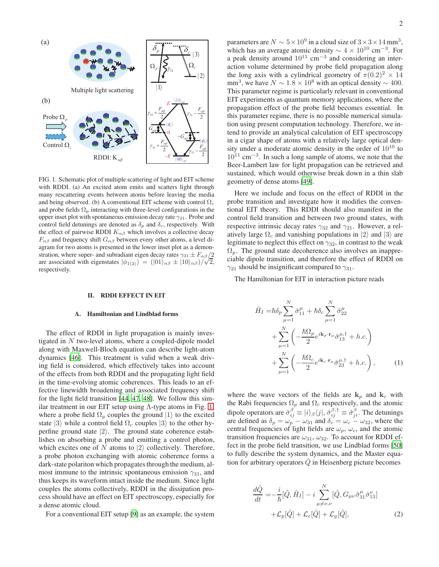

<span id="page-1-0"></span>FIG. 1. Schematic plot of multiple scattering of light and EIT scheme with RDDI. (a) An excited atom emits and scatters light through many rescattering events between atoms before leaving the media and being observed. (b) A conventional EIT scheme with control  $\Omega_c$ and probe fields  $\Omega_p$  interacting with three-level configurations in the upper inset plot with spontaneous emission decay rate  $\gamma_{31}$ . Probe and control field detunings are denoted as  $\delta_p$  and  $\delta_c$ , respectively. With the effect of pairwise RDDI  $K_{\alpha\beta}$  which involves a collective decay  $F_{\alpha\beta}$  and frequency shift  $G_{\alpha\beta}$  between every other atoms, a level diagram for two atoms is presented in the lower inset plot as a demonstration, where super- and subradiant eigen decay rates  $\gamma_{31} \pm F_{\alpha\beta}/2$ are associated with eigenstates  $|\phi_{1(2)}\rangle = (|01\rangle_{\alpha\beta} \pm |10\rangle_{\alpha\beta})/\sqrt{2}$ , respectively.

## II. RDDI EFFECT IN EIT

## A. Hamiltonian and Lindblad forms

The effect of RDDI in light propagation is mainly investigated in  $N$  two-level atoms, where a coupled-dipole model along with Maxwell-Bloch equation can describe light-atom dynamics [\[46\]](#page-10-35). This treatment is valid when a weak driving field is considered, which effectively takes into account of the effects from both RDDI and the propagating light field in the time-evolving atomic coherences. This leads to an effective linewidth broadening and associated frequency shift for the light field transition [\[44](#page-10-33), [47](#page-10-36), [48\]](#page-10-37). We follow this similar treatment in our EIT setup using  $\Lambda$ -type atoms in Fig. [1,](#page-1-0) where a probe field  $\Omega_p$  couples the ground  $|1\rangle$  to the excited state  $|3\rangle$  while a control field  $\Omega_c$  couples  $|3\rangle$  to the other hyperfine ground state  $|2\rangle$ . The ground state coherence establishes on absorbing a probe and emitting a control photon, which excites one of N atoms to  $|2\rangle$  collectively. Therefore, a probe photon exchanging with atomic coherence forms a dark-state polariton which propagates through the medium, almost immune to the intrinsic spontaneous emission  $\gamma_{31}$ , and thus keeps its waveform intact inside the medium. Since light couples the atoms collectively, RDDI in the dissipation process should have an effect on EIT spectroscopy, especially for a dense atomic cloud.

For a conventional EIT setup [\[9\]](#page-10-5) as an example, the system

parameters are  $N \sim 5 \times 10^9$  in a cloud size of  $3 \times 3 \times 14$  mm<sup>3</sup>, which has an average atomic density  $\sim 4 \times 10^{10}$  cm<sup>-3</sup>. For a peak density around  $10^{11}$  cm<sup>-3</sup> and considering an interaction volume determined by probe field propagation along the long axis with a cylindrical geometry of  $\pi(0.2)^2 \times 14$ mm<sup>3</sup>, we have  $N \sim 1.8 \times 10^8$  with an optical density ~ 400. This parameter regime is particularly relevant in conventional EIT experiments as quantum memory applications, where the propagation effect of the probe field becomes essential. In this parameter regime, there is no possible numerical simulation using present computation technology. Therefore, we intend to provide an analytical calculation of EIT spectroscopy in a cigar shape of atoms with a relatively large optical density under a moderate atomic density in the order of  $10^{10}$  to 10<sup>11</sup> cm−<sup>3</sup> . In such a long sample of atoms, we note that the Beer-Lambert law for light propagation can be retrieved and sustained, which would otherwise break down in a thin slab geometry of dense atoms [\[49\]](#page-10-38).

Here we include and focus on the effect of RDDI in the probe transition and investigate how it modifies the conventional EIT theory. This RDDI should also manifest in the control field transition and between two ground states, with respective intrinsic decay rates  $\gamma_{32}$  and  $\gamma_{21}$ . However, a relatively large  $\Omega_c$  and vanishing populations in  $|2\rangle$  and  $|3\rangle$  are legitimate to neglect this effect on  $\gamma_{32}$ , in contrast to the weak  $\Omega_p$ . The ground state decoherence also involves an inappreciable dipole transition, and therefore the effect of RDDI on  $\gamma_{21}$  should be insignificant compared to  $\gamma_{31}$ .

The Hamiltonian for EIT in interaction picture reads

$$
\hat{H}_I = \hbar \delta_p \sum_{\mu=1}^N \hat{\sigma}_{11}^{\mu} + \hbar \delta_c \sum_{\mu=1}^N \hat{\sigma}_{22}^{\mu} \n+ \sum_{\mu=1}^N \left( -\frac{\hbar \Omega_p}{2} e^{i\mathbf{k}_p \cdot \mathbf{r}_\mu} \hat{\sigma}_{13}^{\mu, \dagger} + h.c. \right) \n+ \sum_{\mu=1}^N \left( -\frac{\hbar \Omega_c}{2} e^{i\mathbf{k}_c \cdot \mathbf{r}_\mu} \hat{\sigma}_{23}^{\mu, \dagger} + h.c. \right),
$$
\n(1)

where the wave vectors of the fields are  $k_p$  and  $k_c$  with the Rabi frequencies  $\Omega_p$  and  $\Omega_c$  respectively, and the atomic dipole operators are  $\hat{\sigma}_{ij}^{\beta} \equiv |i\rangle_{\beta} \langle j|$ ,  $\hat{\sigma}_{ij}^{\beta,\dagger} \equiv \hat{\sigma}_{ji}^{\beta}$ . The detunings are defined as  $\delta_p = \omega_p - \omega_{31}$  and  $\delta_c = \omega_c - \omega_{32}$ , where the central frequencies of light fields are  $\omega_p$ ,  $\omega_c$ , and the atomic transition frequencies are  $\omega_{31}$ ,  $\omega_{32}$ . To account for RDDI effect in the probe field transition, we use Lindblad forms [\[50\]](#page-10-39) to fully describe the system dynamics, and the Master equation for arbitrary operators  $\ddot{Q}$  in Heisenberg picture becomes

$$
\frac{d\hat{Q}}{dt} = -\frac{i}{\hbar}[\hat{Q}, \hat{H}_I] - i \sum_{\mu \neq \nu, \nu}^{N} [\hat{Q}, G_{\mu\nu} \hat{\sigma}_{31}^{\mu} \hat{\sigma}_{13}^{\nu}] + \mathcal{L}_p[\hat{Q}] + \mathcal{L}_c[\hat{Q}] + \mathcal{L}_g[\hat{Q}],
$$
\n(2)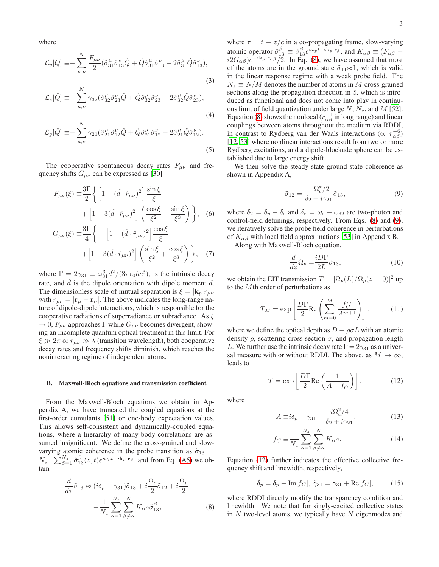where

$$
\mathcal{L}_{p}[\hat{Q}] \equiv -\sum_{\mu,\nu}^{N} \frac{F_{\mu\nu}}{2} (\hat{\sigma}_{31}^{\mu} \hat{\sigma}_{13}^{\nu} \hat{Q} + \hat{Q} \hat{\sigma}_{31}^{\mu} \hat{\sigma}_{13}^{\nu} - 2 \hat{\sigma}_{31}^{\mu} \hat{Q} \hat{\sigma}_{13}^{\nu}),
$$
\n(3)

$$
\mathcal{L}_c[\hat{Q}] \equiv -\sum_{\mu,\nu}^N \gamma_{32} (\hat{\sigma}_{32}^{\mu} \hat{\sigma}_{23}^{\nu} \hat{Q} + \hat{Q} \hat{\sigma}_{32}^{\mu} \hat{\sigma}_{23}^{\nu} - 2 \hat{\sigma}_{32}^{\mu} \hat{Q} \hat{\sigma}_{23}^{\nu}),
$$
\n(4)

$$
\mathcal{L}_{g}[\hat{Q}] \equiv -\sum_{\mu,\nu}^{N} \gamma_{21} (\hat{\sigma}_{21}^{\mu} \hat{\sigma}_{12}^{\nu} \hat{Q} + \hat{Q} \hat{\sigma}_{21}^{\mu} \hat{\sigma}_{12}^{\nu} - 2 \hat{\sigma}_{21}^{\mu} \hat{Q} \hat{\sigma}_{12}^{\nu}).
$$
\n(5)

The cooperative spontaneous decay rates  $F_{\mu\nu}$  and frequency shifts  $G_{\mu\nu}$  can be expressed as [\[30](#page-10-21)]

$$
F_{\mu\nu}(\xi) \equiv \frac{3\Gamma}{2} \left\{ \left[ 1 - (\hat{d} \cdot \hat{r}_{\mu\nu})^2 \right] \frac{\sin \xi}{\xi} + \left[ 1 - 3(\hat{d} \cdot \hat{r}_{\mu\nu})^2 \right] \left( \frac{\cos \xi}{\xi^2} - \frac{\sin \xi}{\xi^3} \right) \right\}, \quad (6)
$$

$$
G_{\mu\nu}(\xi) \equiv \frac{3\Gamma}{4} \left\{ - \left[ 1 - (\hat{d} \cdot \hat{r}_{\mu\nu})^2 \right] \frac{\cos \xi}{\xi}
$$

$$
\begin{aligned} \n\mathcal{F}_{\mu\nu}(\zeta) &= \frac{1}{4} \left\{ -\left[ 1 - \left( a \cdot \mathcal{F}_{\mu\nu} \right) \right] \right\} \frac{\zeta}{\zeta} \\ \n&+ \left[ 1 - 3(\hat{d} \cdot \hat{r}_{\mu\nu})^2 \right] \left( \frac{\sin \xi}{\xi^2} + \frac{\cos \xi}{\xi^3} \right) \bigg\}, \quad (7) \n\end{aligned}
$$

where  $\Gamma = 2\gamma_{31} \equiv \omega_{31}^3 d^2/(3\pi\epsilon_0 \hbar c^3)$ , is the intrinsic decay rate, and  $\hat{d}$  is the dipole orientation with dipole moment  $d$ . The dimensionless scale of mutual separation is  $\xi = |\mathbf{k}_p|r_{\mu\nu}$ with  $r_{\mu\nu} = |\mathbf{r}_{\mu} - \mathbf{r}_{\nu}|$ . The above indicates the long-range nature of dipole-dipole interactions, which is responsible for the cooperative radiations of superradiance or subradiance. As  $\xi$  $\rightarrow$  0,  $F_{\mu\nu}$  approaches  $\Gamma$  while  $G_{\mu\nu}$  becomes divergent, showing an incomplete quantum optical treatment in this limit. For  $\xi \gg 2\pi$  or  $r_{\mu\nu} \gg \lambda$  (transition wavelength), both cooperative decay rates and frequency shifts diminish, which reaches the noninteracting regime of independent atoms.

### B. Maxwell-Bloch equations and transmission coefficient

From the Maxwell-Bloch equations we obtain in Appendix A, we have truncated the coupled equations at the first-order cumulants [\[51\]](#page-10-40) or one-body expectation values. This allows self-consistent and dynamically-coupled equations, where a hierarchy of many-body correlations are assumed insignificant. We define the cross-grained and slowvarying atomic coherence in the probe transition as  $\tilde{\sigma}_{13}$  =  $N_z^{-1} \sum_{\beta=1}^{N_z} \hat{\sigma}_{13}^{\beta}(z,t) e^{i\omega_p t - i\mathbf{k}_p \cdot \mathbf{r}_\beta}$ , and from Eq. [\(A5\)](#page-8-0) we obtain

<span id="page-2-0"></span>
$$
\frac{d}{d\tau}\tilde{\sigma}_{13} \approx (i\delta_p - \gamma_{31})\tilde{\sigma}_{13} + i\frac{\Omega_c}{2}\tilde{\sigma}_{12} + i\frac{\Omega_p}{2} \n- \frac{1}{N_z} \sum_{\alpha=1}^{N_z} \sum_{\beta \neq \alpha}^{N} K_{\alpha\beta} \tilde{\sigma}_{13}^{\beta},
$$
\n(8)

where  $\tau = t - z/c$  in a co-propagating frame, slow-varying atomic operator  $\tilde{\sigma}_{13}^{\beta} \equiv \hat{\sigma}_{13}^{\beta} e^{i\omega_p t - i\mathbf{k}_p \cdot \mathbf{r}_{\beta}}$ , and  $K_{\alpha\beta} \equiv (F_{\alpha\beta} +$  $i2G_{\alpha\beta}$ )e<sup>-ik<sub>p</sub>·r<sub>αβ</sub> /2. In Eq. [\(8\)](#page-2-0), we have assumed that most</sup> of the atoms are in the ground state  $\tilde{\sigma}_{11} \approx 1$ , which is valid in the linear response regime with a weak probe field. The  $N_z \equiv N/M$  denotes the number of atoms in M cross-grained sections along the propagation direction in  $\hat{z}$ , which is introduced as functional and does not come into play in continuous limit of field quantization under large N,  $N_z$ , and M [\[52](#page-10-41)]. Equation [\(8\)](#page-2-0) shows the nonlocal ( $r_{\alpha\beta}^{-1}$  in long range) and linear couplings between atoms throughout the medium via RDDI, in contrast to Rydberg van der Waals interactions ( $\propto r_{\alpha\beta}^{-6}$ ) [\[12](#page-10-42), [53](#page-10-43)] where nonlinear interactions result from two or more Rydberg excitations, and a dipole-blockade sphere can be established due to large energy shift.

We then solve the steady-state ground state coherence as shown in Appendix A,

<span id="page-2-1"></span>
$$
\tilde{\sigma}_{12} = \frac{-\Omega_c^*/2}{\delta_2 + i\gamma_{21}} \tilde{\sigma}_{13},\tag{9}
$$

where  $\delta_2 = \delta_p - \delta_c$  and  $\delta_c = \omega_c - \omega_{32}$  are two-photon and control-field detunings, respectively. From Eqs. [\(8\)](#page-2-0) and [\(9\)](#page-2-1), we iteratively solve the probe field coherence in perturbations of  $K_{\alpha\beta}$  with local field approximations [\[53](#page-10-43)] in Appendix B.

Along with Maxwell-Bloch equation,

$$
\frac{d}{dz}\Omega_p = \frac{iD\Gamma}{2L}\tilde{\sigma}_{13},\tag{10}
$$

we obtain the EIT transmission  $T = |\Omega_p(L)/\Omega_p(z=0)|^2$  up to the Mth order of perturbations as

<span id="page-2-5"></span>
$$
T_M = \exp\left[\frac{D\Gamma}{2}\text{Re}\left(\sum_{m=0}^M \frac{f_C^m}{A^{m+1}}\right)\right],\tag{11}
$$

where we define the optical depth as  $D \equiv \rho \sigma L$  with an atomic density  $\rho$ , scattering cross section  $\sigma$ , and propagation length L. We further use the intrinsic decay rate  $\Gamma = 2\gamma_{31}$  as a universal measure with or without RDDI. The above, as  $M \to \infty$ , leads to

<span id="page-2-2"></span>
$$
T = \exp\left[\frac{D\Gamma}{2}\text{Re}\left(\frac{1}{A - f_C}\right)\right],\tag{12}
$$

where

<span id="page-2-4"></span>
$$
A \equiv i\delta_p - \gamma_{31} - \frac{i\Omega_c^2/4}{\delta_2 + i\gamma_{21}},\tag{13}
$$

$$
f_C \equiv \frac{1}{N_z} \sum_{\alpha=1}^{N_z} \sum_{\beta \neq \alpha}^{N} K_{\alpha\beta}.
$$
 (14)

Equation [\(12\)](#page-2-2) further indicates the effective collective frequency shift and linewidth, respectively,

<span id="page-2-3"></span>
$$
\tilde{\delta}_p = \delta_p - \text{Im}[f_C], \ \tilde{\gamma}_{31} = \gamma_{31} + \text{Re}[f_C], \tag{15}
$$

where RDDI directly modify the transparency condition and linewidth. We note that for singly-excited collective states in  $N$  two-level atoms, we typically have  $N$  eigenmodes and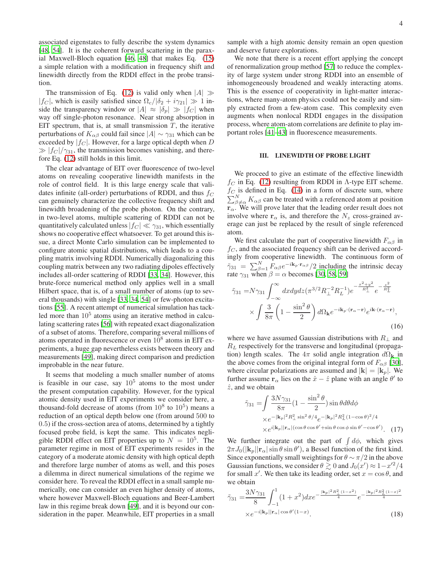associated eigenstates to fully describe the system dynamics [\[48](#page-10-37), [54](#page-10-44)]. It is the coherent forward scattering in the paraxial Maxwell-Bloch equation [\[46](#page-10-35), [48\]](#page-10-37) that makes Eq. [\(15\)](#page-2-3) a simple relation with a modification in frequency shift and linewidth directly from the RDDI effect in the probe transition.

The transmission of Eq. [\(12\)](#page-2-2) is valid only when  $|A| \gg$  $|f_C|$ , which is easily satisfied since  $\Omega_c/|\delta_2 + i\gamma_{21}| \gg 1$  inside the transparency window or  $|A| \approx |\delta_p| \gg |f_C|$  when way off single-photon resonance. Near strong absorption in EIT spectrum, that is, at small transmission  $T$ , the iterative perturbations of  $K_{\alpha\beta}$  could fail since  $|A| \sim \gamma_{31}$  which can be exceeded by  $|f_C|$ . However, for a large optical depth when D  $\gg |f_C|/\gamma_{31}$ , the transmission becomes vanishing, and therefore Eq. [\(12\)](#page-2-2) still holds in this limit.

The clear advantage of EIT over fluorescence of two-level atoms on revealing cooperative linewidth manifests in the role of control field. It is this large energy scale that validates infinite (all-order) perturbations of RDDI, and thus  $f_C$ can genuinely characterize the collective frequency shift and linewidth broadening of the probe photon. On the contrary, in two-level atoms, multiple scattering of RDDI can not be quantitatively calculated unless  $|f_C| \ll \gamma_{31}$ , which essentially shows no cooperative effect whatsoever. To get around this issue, a direct Monte Carlo simulation can be implemented to configure atomic spatial distributions, which leads to a coupling matrix involving RDDI. Numerically diagonalizing this coupling matrix between any two radiating dipoles effectively includes all-order scattering of RDDI [\[33,](#page-10-24) [34\]](#page-10-25). However, this brute-force numerical method only applies well in a small Hilbert space, that is, of a small number of atoms (up to several thousands) with single [\[33](#page-10-24), [34](#page-10-25), [54](#page-10-44)] or few-photon excitations [\[55](#page-10-45)]. A recent attempt of numerical simulation has tackled more than  $10<sup>5</sup>$  atoms using an iterative method in calculating scattering rates [\[56\]](#page-10-46) with repeated exact diagonalization of a subset of atoms. Therefore, comparing several millions of atoms operated in fluorescence or even  $10^8$  atoms in EIT experiments, a huge gap nevertheless exists between theory and measurements [\[49\]](#page-10-38), making direct comparison and prediction improbable in the near future.

It seems that modeling a much smaller number of atoms is feasible in our case, say  $10^5$  atoms to the most under the present computation capability. However, for the typical atomic density used in EIT experiments we consider here, a thousand-fold decrease of atoms (from  $10^8$  to  $10^5$ ) means a reduction of an optical depth below one (from around 500 to 0.5) if the cross-section area of atoms, determined by a tightly focused probe field, is kept the same. This indicates negligible RDDI effect on EIT properties up to  $N = 10^5$ . The parameter regime in most of EIT experiments resides in the category of a moderate atomic density with high optical depth and therefore large number of atoms as well, and this poses a dilemma in direct numerical simulations of the regime we consider here. To reveal the RDDI effect in a small sample numerically, one can consider an even higher density of atoms, where however Maxwell-Bloch equations and Beer-Lambert law in this regime break down [\[49\]](#page-10-38), and it is beyond our consideration in the paper. Meanwhile, EIT properties in a small sample with a high atomic density remain an open question and deserve future explorations.

We note that there is a recent effort applying the concept of renormalization group method [\[57\]](#page-10-47) to reduce the complexity of large system under strong RDDI into an ensemble of inhomogeneously broadened and weakly interacting atoms. This is the essence of cooperativity in light-matter interactions, where many-atom physics could not be easily and simply extracted from a few-atom case. This complexity even augments when nonlocal RDDI engages in the dissipation process, where atom-atom correlations are definite to play important roles [\[41](#page-10-32)[–43\]](#page-10-48) in fluorescence measurements.

### III. LINEWIDTH OF PROBE LIGHT

We proceed to give an estimate of the effective linewidth  $f_C$  in Eq. [\(12\)](#page-2-2) resulting from RDDI in Λ-type EIT scheme.  $f_C$  is defined in Eq. [\(14\)](#page-2-4) in a form of discrete sum, where  $\sum_{\beta \neq \alpha}^{N} K_{\alpha\beta}$  can be treated with a referenced atom at position  $\mathbf{r}_{\alpha}$ . We will prove later that the leading order result does not involve where  $r_{\alpha}$  is, and therefore the  $N_z$  cross-grained average can just be replaced by the result of single referenced atom.

We first calculate the part of cooperative linewidth  $F_{\alpha\beta}$  in  $f_C$ , and the associated frequency shift can be derived accordingly from cooperative linewidth. The continuous form of  $\tilde{\gamma}_{31} = \sum_{\beta=1}^{N} F_{\alpha\beta} e^{-i\mathbf{k}_p \cdot \mathbf{r}_{\alpha\beta}} / 2$  including the intrinsic decay rate  $\gamma_{31}$  when  $\beta = \alpha$  becomes [\[30](#page-10-21), [58](#page-10-49), [59\]](#page-10-50)

$$
\tilde{\gamma}_{31} = N \gamma_{31} \int_{-\infty}^{\infty} dx dy dz (\pi^{3/2} R_{\perp}^{-2} R_{L}^{-1}) e^{-\frac{x^{2} + y^{2}}{R_{\perp}^{2}}} e^{-\frac{z^{2}}{R_{L}^{2}}}
$$
\n
$$
\times \int \frac{3}{8\pi} \left(1 - \frac{\sin^{2} \theta}{2}\right) d\Omega_{\mathbf{k}} e^{-i\mathbf{k}_{p} \cdot (\mathbf{r}_{\alpha} - \mathbf{r})} e^{i\mathbf{k} \cdot (\mathbf{r}_{\alpha} - \mathbf{r})}, \tag{16}
$$

where we have assumed Gaussian distributions with  $R_{\perp}$  and  $R_L$  respectively for the transverse and longitudinal (propagation) length scales. The  $4\pi$  solid angle integration  $d\Omega_{\bf k}$  in the above comes from the original integral form of  $F_{\alpha\beta}$  [\[30](#page-10-21)], where circular polarizations are assumed and  $|\mathbf{k}| = |\mathbf{k}_p|$ . We further assume  $\mathbf{r}_{\alpha}$  lies on the  $\hat{x} - \hat{z}$  plane with an angle  $\theta'$  to  $\hat{z}$ , and we obtain

$$
\tilde{\gamma}_{31} = \int \frac{3N\gamma_{31}}{8\pi} \left(1 - \frac{\sin^2\theta}{2}\right) \sin\theta d\theta d\phi
$$
  
 
$$
\times e^{-|\mathbf{k}_p|^2 R_\perp^2 \sin^2\theta/4} e^{-|\mathbf{k}_p|^2 R_L^2 (1 - \cos\theta)^2/4}
$$
  
 
$$
\times e^{i|\mathbf{k}_p||\mathbf{r}_\alpha|(\cos\theta\cos\theta' + \sin\theta\cos\phi\sin\theta' - \cos\theta')}.
$$
 (17)

We further integrate out the part of  $\int d\phi$ , which gives  $2\pi J_0(|\mathbf{k}_p||\mathbf{r}_\alpha|\sin\theta\sin\theta')$ , a Bessel function of the first kind. Since exponentially small weightings for  $\theta \sim \pi/2$  in the above Gaussian functions, we consider  $\theta \gtrsim 0$  and  $J_0(x') \approx 1-x'^2/4$ for small x'. We then take its leading order, set  $x = \cos \theta$ , and we obtain

<span id="page-3-0"></span>
$$
\tilde{\gamma}_{31} = \frac{3N\gamma_{31}}{8} \int_{-1}^{1} (1+x^2) dx e^{-\frac{|\mathbf{k}_p|^2 R_{\perp}^2 (1-x^2)}{4}} e^{-\frac{|\mathbf{k}_p|^2 R_L^2 (1-x)^2}{4}}
$$

$$
\times e^{-i|\mathbf{k}_p||\mathbf{r}_\alpha|\cos\theta'(1-x)}.
$$
(18)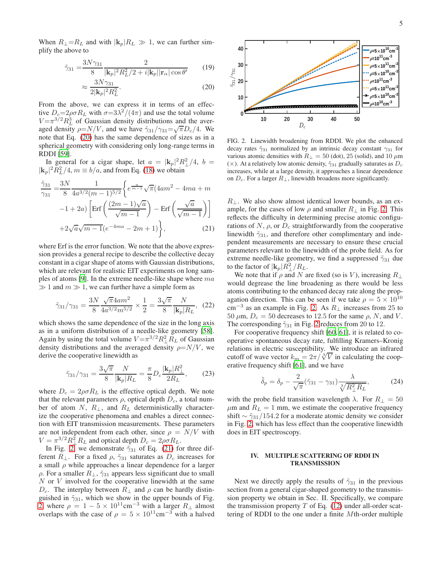When  $R_{\perp} = R_L$  and with  $|{\bf k}_p| R_L \gg 1$ , we can further simplify the above to

<span id="page-4-0"></span>
$$
\tilde{\gamma}_{31} = \frac{3N\gamma_{31}}{8} \frac{2}{|\mathbf{k}_p|^2 R_L^2 / 2 + i |\mathbf{k}_p| |\mathbf{r}_\alpha| \cos \theta'} \qquad (19)
$$

$$
\approx \frac{3N\gamma_{31}}{2|\mathbf{k}_p|^2 R_L^2}.\tag{20}
$$

From the above, we can express it in terms of an effective  $D_c = 2\rho \sigma R_L$  with  $\sigma = 3\lambda^2/(4\pi)$  and use the total volume  $V = \pi^{3/2} R_L^3$  of Gaussian density distributions and the averaged density  $\rho = N/V$ , and we have  $\tilde{\gamma}_{31}/\gamma_{31} = \sqrt{\pi} D_c/4$ . We note that Eq. [\(20\)](#page-4-0) has the same dependence of sizes as in a spherical geometry with considering only long-range terms in RDDI [\[59](#page-10-50)].

In general for a cigar shape, let  $a = |\mathbf{k}_p|^2 R_\perp^2/4$ ,  $b =$  $|\mathbf{k}_p|^2 \tilde{R}_L^2/4$ ,  $m \equiv b/a$ , and from Eq. [\(18\)](#page-3-0) we obtain

<span id="page-4-2"></span>
$$
\frac{\tilde{\gamma}_{31}}{\gamma_{31}} = \frac{3N}{8} \frac{1}{4a^{3/2}(m-1)^{5/2}} \left\{ e^{\frac{a}{m-1}} \sqrt{\pi} (4am^2 - 4ma + m -1 + 2a) \left[ \text{Erf} \left( \frac{(2m-1)\sqrt{a}}{\sqrt{m-1}} \right) - \text{Erf} \left( \frac{\sqrt{a}}{\sqrt{m-1}} \right) \right] + 2\sqrt{a}\sqrt{m-1} (e^{-4ma} - 2m + 1) \right\},
$$
\n(21)

where Erf is the error function. We note that the above expression provides a general recipe to describe the collective decay constant in a cigar shape of atoms with Gaussian distributions, which are relevant for realistic EIT experiments on long samples of atoms [\[9\]](#page-10-5). In the extreme needle-like shape where ma  $\gg 1$  and  $m \gg 1$ , we can further have a simple form as

$$
\tilde{\gamma}_{31}/\gamma_{31} = \frac{3N}{8} \frac{\sqrt{\pi} 4am^2}{4a^{3/2}m^{5/2}} \times \frac{1}{2} = \frac{3\sqrt{\pi}}{8} \frac{N}{|\mathbf{k}_p|R_L}, \tag{22}
$$

which shows the same dependence of the size in the long axis as in a uniform distribution of a needle-like geometry [\[58](#page-10-49)]. Again by using the total volume  $V = \pi^{3/2} R_{\perp}^2 R_L$  of Gaussian density distributions and the averaged density  $\rho = N/V$ , we derive the cooperative linewidth as

$$
\tilde{\gamma}_{31}/\gamma_{31} = \frac{3\sqrt{\pi}}{8} \frac{N}{|\mathbf{k}_p|R_L} = \frac{\pi}{8} D_c \frac{|\mathbf{k}_p|R_\perp^2}{2R_L},\qquad(23)
$$

where  $D_c = 2\rho \sigma R_L$  is the effective optical depth. We note that the relevant parameters  $\rho$ , optical depth  $D_c$ , a total number of atom N,  $R_{\perp}$ , and  $R_L$  deterministically characterize the cooperative phenomena and enables a direct connection with EIT transmission measurements. These parameters are not independent from each other, since  $\rho = N/V$  with  $V = \pi^{3/2} R_{\perp}^2 R_L$  and optical depth  $D_c = 2\rho \sigma R_L$ .

In Fig. [2,](#page-4-1) we demonstrate  $\tilde{\gamma}_{31}$  of Eq. [\(21\)](#page-4-2) for three different  $R_{\perp}$ . For a fixed  $\rho$ ,  $\tilde{\gamma}_{31}$  saturates as  $D_c$  increases for a small  $\rho$  while approaches a linear dependence for a larger  $ρ$ . For a smaller  $R_{\perp}$ ,  $\tilde{\gamma}_{31}$  appears less significant due to small N or V involved for the cooperative linewidth at the same  $D_c$ . The interplay between  $R_{\perp}$  and  $\rho$  can be hardly distinguished in  $\tilde{\gamma}_{31}$ , which we show in the upper bounds of Fig. [2,](#page-4-1) where  $\rho = 1 - 5 \times 10^{11} \text{cm}^{-3}$  with a larger  $R_{\perp}$  almost overlaps with the case of  $\rho = 5 \times 10^{11} \text{cm}^{-3}$  with a halved



<span id="page-4-1"></span>FIG. 2. Linewidth broadening from RDDI. We plot the enhanced decay rates  $\tilde{\gamma}_{31}$  normalized by an intrinsic decay constant  $\gamma_{31}$  for various atomic densities with  $R_{\perp} = 50$  (dot), 25 (solid), and 10  $\mu$ m ( $\times$ ). At a relatively low atomic density,  $\tilde{\gamma}_{31}$  gradually saturates as  $D_c$ increases, while at a large density, it approaches a linear dependence on  $D_c$ . For a larger  $R_{\perp}$ , linewidth broadens more significantly.

 $R_{\perp}$ . We also show almost identical lower bounds, as an example, for the cases of low  $\rho$  and smaller  $R_{\perp}$  in Fig. [2.](#page-4-1) This reflects the difficulty in determining precise atomic configurations of  $N$ ,  $\rho$ , or  $D_c$  straightforwardly from the cooperative linewidth  $\tilde{\gamma}_{31}$ , and therefore other complimentary and independent measurements are necessary to ensure these crucial parameters relevant to the linewidth of the probe field. As for extreme needle-like geometry, we find a suppressed  $\tilde{\gamma}_{31}$  due to the factor of  $|\mathbf{k}_p| R_\perp^2 / R_L$ .

We note that if  $\rho$  and N are fixed (so is V), increasing  $R_{\perp}$ would degrease the line broadening as there would be less atoms contributing to the enhanced decay rate along the propagation direction. This can be seen if we take  $\rho = 5 \times 10^{10}$ cm<sup>-3</sup> as an example in Fig. [2.](#page-4-1) As  $R_{\perp}$  increases from 25 to 50  $\mu$ m,  $D_c = 50$  decreases to 12.5 for the same  $\rho$ , N, and V. The corresponding  $\tilde{\gamma}_{31}$  in Fig. [2](#page-4-1) reduces from 20 to 12.

For cooperative frequency shift [\[60](#page-10-51), [61](#page-10-52)], it is related to cooperative spontaneous decay rate, fulfilling Kramers–Kronig relations in electric susceptibility. We introduce an infrared cutoff of wave vector  $k_m = 2\pi/\sqrt[3]{V}$  in calculating the cooperative frequency shift [\[61\]](#page-10-52), and we have

$$
\tilde{\delta}_p = \delta_p - \frac{2}{\sqrt{\pi}} (\tilde{\gamma}_{31} - \gamma_{31}) \frac{\lambda}{\sqrt[3]{R_\perp^2 R_L}},\tag{24}
$$

with the probe field transition wavelength  $\lambda$ . For  $R_{\perp} = 50$  $\mu$ m and  $R_L = 1$  mm, we estimate the cooperative frequency shift  $\sim \tilde{\gamma}_{31}/154.2$  for a moderate atomic density we consider in Fig. [2,](#page-4-1) which has less effect than the cooperative linewidth does in EIT spectroscopy.

## IV. MULTIPLE SCATTERING OF RDDI IN TRANSMISSION

Next we directly apply the results of  $\tilde{\gamma}_{31}$  in the previous section from a general cigar-shaped geometry to the transmission property we obtain in Sec. II. Specifically, we compare the transmission property  $T$  of Eq. [\(12\)](#page-2-2) under all-order scattering of RDDI to the one under a finite Mth-order multiple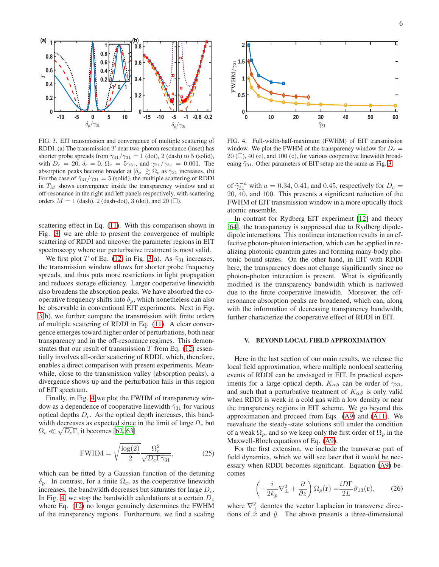

<span id="page-5-0"></span>FIG. 3. EIT transmission and convergence of multiple scattering of RDDI. (a) The transmission  $T$  near two-photon resonance (inset) has shorter probe spreads from  $\tilde{\gamma}_{31}/\gamma_{31} = 1$  (dot), 2 (dash) to 5 (solid), with  $D_c = 20$ ,  $\delta_c = 0$ ,  $\Omega_c = 5\gamma_{31}$ , and  $\gamma_{21}/\gamma_{31} = 0.001$ . The absorption peaks become broader at  $|\delta_p| \gtrsim \Omega_c$  as  $\tilde{\gamma}_{31}$  increases. (b) For the case of  $\tilde{\gamma}_{31}/\gamma_{31} = 5$  (solid), the multiple scattering of RDDI in  $T_M$  shows convergence inside the transparency window and at off-resonance in the right and left panels respectively, with scattering orders  $M = 1$  (dash), 2 (dash-dot), 3 (dot), and 20 ( $\square$ ).

scattering effect in Eq. [\(11\)](#page-2-5). With this comparison shown in Fig. [3,](#page-5-0) we are able to present the convergence of multiple scattering of RDDI and uncover the parameter regions in EIT spectroscopy where our perturbative treatment is most valid.

We first plot T of Eq. [\(12\)](#page-2-2) in Fig. [3\(](#page-5-0)a). As  $\tilde{\gamma}_{31}$  increases, the transmission window allows for shorter probe frequency spreads, and thus puts more restrictions in light propagation and reduces storage efficiency. Larger cooperative linewidth also broadens the absorption peaks. We have absorbed the cooperative frequency shifts into  $\delta_p$ , which nonetheless can also be observable in conventional EIT experiments. Next in Fig. [3\(](#page-5-0)b), we further compare the transmission with finite orders of multiple scattering of RDDI in Eq. [\(11\)](#page-2-5). A clear convergence emerges toward higher order of perturbations, both near transparency and in the off-resonance regimes. This demonstrates that our result of transmission  $T$  from Eq. [\(12\)](#page-2-2) essentially involves all-order scattering of RDDI, which, therefore, enables a direct comparison with present experiments. Meanwhile, close to the transmission valley (absorption peaks), a divergence shows up and the perturbation fails in this region of EIT spectrum.

Finally, in Fig. [4](#page-5-1) we plot the FWHM of transparency window as a dependence of cooperative linewidth  $\tilde{\gamma}_{31}$  for various optical depths  $D<sub>c</sub>$ . As the optical depth increases, this bandwidth decreases as expected since in the limit of large  $\Omega_c$  but  $\Omega_c \ll \sqrt{D_c} \Gamma$ , it becomes [\[62](#page-10-53), [63](#page-10-54)]

$$
\text{FWHM} = \sqrt{\frac{\log(2)}{2}} \frac{\Omega_c^2}{\sqrt{D_c \Gamma \tilde{\gamma}_{31}}},\tag{25}
$$

which can be fitted by a Gaussian function of the detuning  $\delta_p$ . In contrast, for a finite  $\Omega_c$ , as the cooperative linewidth increases, the bandwidth decreases but saturates for large  $D<sub>c</sub>$ . In Fig. [4,](#page-5-1) we stop the bandwidth calculations at a certain  $D_c$ where Eq. [\(12\)](#page-2-2) no longer genuinely determines the FWHM of the transparency regions. Furthermore, we find a scaling



<span id="page-5-1"></span>FIG. 4. Full-width-half-maximum (FWHM) of EIT transmission window. We plot the FWHM of the transparency window for  $D_c =$ 20 ( $\square$ ), 40 ( $\diamond$ ), and 100 ( $\diamond$ ), for various cooperative linewidth broadening  $\tilde{\gamma}_{31}$ . Other parameters of EIT setup are the same as Fig. [3.](#page-5-0)

of  $\tilde{\gamma}_{31}^{-a}$  with  $a = 0.34, 0.41$ , and 0.45, respectively for  $D_c =$ 20, 40, and 100. This presents a significant reduction of the FWHM of EIT transmission window in a more optically thick atomic ensemble.

In contrast for Rydberg EIT experiment [\[12\]](#page-10-42) and theory [\[64](#page-10-55)], the transparency is suppressed due to Rydberg dipoledipole interactions. This nonlinear interaction results in an effective photon-photon interaction, which can be applied in realizing photonic quantum gates and forming many-body photonic bound states. On the other hand, in EIT with RDDI here, the transparency does not change significantly since no photon-photon interaction is present. What is significantly modified is the transparency bandwidth which is narrowed due to the finite cooperative linewidth. Moreover, the offresonance absorption peaks are broadened, which can, along with the information of decreasing transparency bandwidth, further characterize the cooperative effect of RDDI in EIT.

### V. BEYOND LOCAL FIELD APPROXIMATION

Here in the last section of our main results, we release the local field approximation, where multiple nonlocal scattering events of RDDI can be envisaged in EIT. In practical experiments for a large optical depth,  $K_{\alpha\beta}$  can be order of  $\gamma_{31}$ , and such that a perturbative treatment of  $K_{\alpha\beta}$  is only valid when RDDI is weak in a cold gas with a low density or near the transparency regions in EIT scheme. We go beyond this approximation and proceed from Eqs. [\(A9\)](#page-8-0) and [\(A11\)](#page-9-2). We reevaluate the steady-state solutions still under the condition of a weak  $\Omega_p$ , and so we keep only the first order of  $\Omega_p$  in the Maxwell-Bloch equations of Eq. [\(A9\)](#page-8-0).

For the first extension, we include the transverse part of field dynamics, which we will see later that it would be necessary when RDDI becomes significant. Equation [\(A9\)](#page-8-0) becomes

<span id="page-5-2"></span>
$$
\left(-\frac{i}{2k_p}\nabla_{\perp}^2 + \frac{\partial}{\partial z}\right)\Omega_p(\mathbf{r}) = \frac{iD\Gamma}{2L}\tilde{\sigma}_{13}(\mathbf{r}),\qquad(26)
$$

where  $\nabla^2_{\perp}$  denotes the vector Laplacian in transverse directions of  $\hat{x}$  and  $\hat{y}$ . The above presents a three-dimensional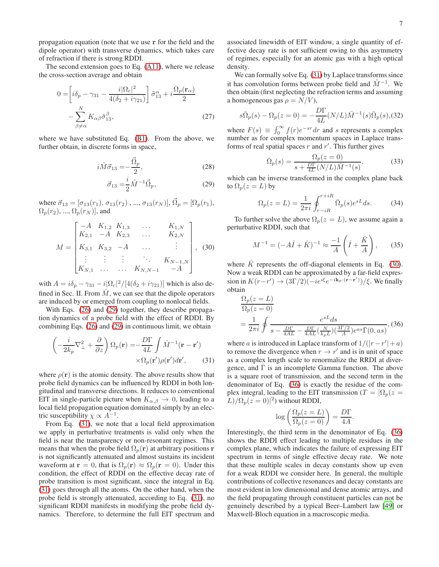propagation equation (note that we use r for the field and the dipole operator) with transverse dynamics, which takes care of refraction if there is strong RDDI.

The second extension goes to Eq. [\(A11\)](#page-9-2), where we release the cross-section average and obtain

$$
0 = \left[i\delta_p - \gamma_{31} - \frac{i|\Omega_c|^2}{4(\delta_2 + i\gamma_{21})}\right] \tilde{\sigma}_{13}^\alpha + i\frac{\Omega_p(\mathbf{r}_\alpha)}{2}
$$

$$
-\sum_{\beta \neq \alpha}^N K_{\alpha\beta} \tilde{\sigma}_{13}^\beta, \tag{27}
$$

where we have substituted Eq. [\(B1\)](#page-9-3). From the above, we further obtain, in discrete forms in space,

<span id="page-6-0"></span>
$$
i\hat{M}\vec{\sigma}_{13} = -\frac{\vec{\Omega}_p}{2},\tag{28}
$$

$$
\vec{\sigma}_{13} = \frac{i}{2} \hat{M}^{-1} \vec{\Omega}_p, \tag{29}
$$

where  $\vec{\sigma}_{13} = [\sigma_{13}(r_1), \sigma_{13}(r_2), ..., \sigma_{13}(r_N)], \vec{\Omega}_p = [\Omega_p(r_1),$  $\Omega_p(r_2), \ldots, \Omega_p(r_N)$ , and

<span id="page-6-2"></span>
$$
M = \begin{bmatrix} -A & K_{1,2} & K_{1,3} & \dots & K_{1,N} \\ K_{2,1} & -A & K_{2,3} & \dots & K_{2,N} \\ K_{3,1} & K_{3,2} & -A & \dots & \vdots \\ \vdots & \vdots & \vdots & \ddots & K_{N-1,N} \\ K_{N,1} & \dots & \dots & K_{N,N-1} & -A \end{bmatrix},
$$
 (30)

with  $A = i\delta_p - \gamma_{31} - i[\Omega_c]^2/[4(\delta_2 + i\gamma_{21})]$  which is also defined in Sec. II. From  $\hat{M}$ , we can see that the dipole operators are induced by or emerged from coupling to nonlocal fields.

With Eqs. [\(26\)](#page-5-2) and [\(29\)](#page-6-0) together, they describe propagation dynamics of a probe field with the effect of RDDI. By combining Eqs. [\(26\)](#page-5-2) and [\(29\)](#page-6-0) in continuous limit, we obtain

<span id="page-6-1"></span>
$$
\left(-\frac{i}{2k_p}\nabla_{\perp}^2 + \frac{\partial}{\partial z}\right)\Omega_p(\mathbf{r}) = -\frac{D\Gamma}{4L} \int \hat{M}^{-1}(\mathbf{r} - \mathbf{r}')\n\times \Omega_p(\mathbf{r}')\rho(\mathbf{r}')d\mathbf{r}',\n\tag{31}
$$

where  $\rho(\mathbf{r})$  is the atomic density. The above results show that probe field dynamics can be influenced by RDDI in both longitudinal and transverse directions. It reduces to conventional EIT in single-particle picture when  $K_{\alpha,\beta} \to 0$ , leading to a local field propagation equation dominated simply by an electric susceptibility  $\chi \propto A^{-1}$ .

From Eq. [\(31\)](#page-6-1), we note that a local field approximation we apply in perturbative treatments is valid only when the field is near the transparency or non-resonant regimes. This means that when the probe field  $\Omega_p(\mathbf{r})$  at arbitrary positions **r** is not significantly attenuated and almost sustains its incident waveform at  $\mathbf{r} = 0$ , that is  $\Omega_p(\mathbf{r}) \approx \Omega_p(\mathbf{r} = 0)$ . Under this condition, the effect of RDDI on the effective decay rate of probe transition is most significant, since the integral in Eq. [\(31\)](#page-6-1) goes through all the atoms. On the other hand, when the probe field is strongly attenuated, according to Eq. [\(31\)](#page-6-1), no significant RDDI manifests in modifying the probe field dynamics. Therefore, to determine the full EIT spectrum and associated linewidth of EIT window, a single quantity of effective decay rate is not sufficient owing to this asymmetry of regimes, especially for an atomic gas with a high optical density.

We can formally solve Eq. [\(31\)](#page-6-1) by Laplace transforms since it has convolution forms between probe field and  $\hat{M}^{-1}$ . We then obtain (first neglecting the refraction terms and assuming a homogeneous gas  $\rho = N/V$ ),

$$
s\bar{\Omega}_p(s) - \Omega_p(z=0) = -\frac{D\Gamma}{4L}(N/L)\bar{M}^{-1}(s)\bar{\Omega}_p(s),
$$
 (32)

where  $F(s) \equiv \int_0^\infty f(r)e^{-sr}dr$  and s represents a complex number as for complex momentum spaces in Laplace transforms of real spatial spaces  $r$  and  $r'$ . This further gives

$$
\bar{\Omega}_p(s) = \frac{\Omega_p(z=0)}{s + \frac{D\Gamma}{4L}(N/L)\bar{M}^{-1}(s)},\tag{33}
$$

which can be inverse transformed in the complex plane back to  $\Omega_p(z=L)$  by

$$
\Omega_p(z=L) = \frac{1}{2\pi i} \oint_{r-iR}^{r+iR} \bar{\Omega}_p(s) e^{sL} ds.
$$
 (34)

To further solve the above  $\Omega_p(z=L)$ , we assume again a perturbative RDDI, such that

$$
M^{-1} = (-A\hat{I} + \hat{K})^{-1} \approx \frac{-1}{A} \left(\hat{I} + \frac{\hat{K}}{A}\right), \quad (35)
$$

where  $\hat{K}$  represents the off-diagonal elements in Eq. [\(30\)](#page-6-2). Now a weak RDDI can be approximated by a far-field expression in  $K(r-r') \rightarrow (3\Gamma/2)(-ie^{i\xi}e^{-i\mathbf{k}_p\cdot(\mathbf{r}-\mathbf{r}')})/\xi$ . We finally obtain

<span id="page-6-3"></span>
$$
\Omega_p(z=L)
$$
\n
$$
\Omega_p(z=0)
$$
\n
$$
= \frac{1}{2\pi i} \oint \frac{e^{sL} ds}{s - \frac{D\Gamma}{4AL} - \frac{D\Gamma}{4AL} \left(\frac{N}{k_p L}\right) \left(\frac{3\Gamma/2}{A}\right) e^{as} \overline{\Gamma}(0, as)},
$$
\n(36)

where *a* is introduced in Laplace transform of  $1/(|r - r'| + a)$ to remove the divergence when  $r \to r'$  and is in unit of space as a complex length scale to renormalize the RRDI at divergence, and  $\Gamma$  is an incomplete Gamma function. The above is a square root of transmission, and the second term in the denominator of Eq. [\(36\)](#page-6-3) is exactly the residue of the complex integral, leading to the EIT transmission ( $T = |\Omega_p(z)|$  $L)/\Omega_p(z=0)|^2$ ) without RDDI,

$$
\log\left(\frac{\Omega_p(z=L)}{\Omega_p(z=0)}\right) = \frac{D\Gamma}{4A}
$$

.

Interestingly, the third term in the denominator of Eq. [\(36\)](#page-6-3) shows the RDDI effect leading to multiple residues in the complex plane, which indicates the failure of expressing EIT spectrum in terms of single effective decay rate. We note that these multiple scales in decay constants show up even for a weak RDDI we consider here. In general, the multiple contributions of collective resonances and decay constants are most evident in low dimensional and dense atomic arrays, and the field propagating through constituent particles can not be genuinely described by a typical Beer–Lambert law [\[49\]](#page-10-38) or Maxwell-Bloch equation in a macroscopic media.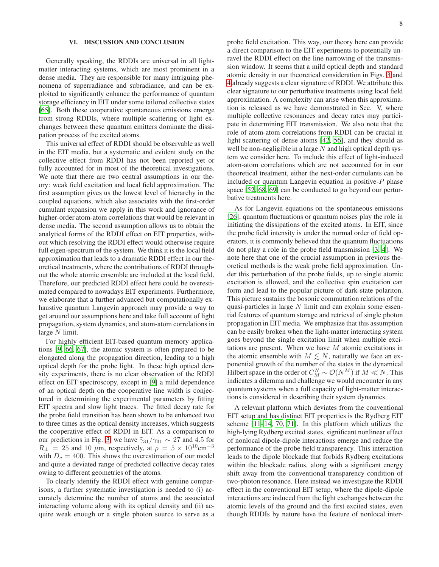## VI. DISCUSSION AND CONCLUSION

Generally speaking, the RDDIs are universal in all lightmatter interacting systems, which are most prominent in a dense media. They are responsible for many intriguing phenomena of superradiance and subradiance, and can be exploited to significantly enhance the performance of quantum storage efficiency in EIT under some tailored collective states [\[65](#page-10-56)]. Both these cooperative spontaneous emissions emerge from strong RDDIs, where multiple scattering of light exchanges between these quantum emitters dominate the dissipation process of the excited atoms.

This universal effect of RDDI should be observable as well in the EIT media, but a systematic and evident study on the collective effect from RDDI has not been reported yet or fully accounted for in most of the theoretical investigations. We note that there are two central assumptions in our theory: weak field excitation and local field approximation. The first assumption gives us the lowest level of hierarchy in the coupled equations, which also associates with the first-order cumulant expansion we apply in this work and ignorance of higher-order atom-atom correlations that would be relevant in dense media. The second assumption allows us to obtain the analytical forms of the RDDI effect on EIT properties, without which resolving the RDDI effect would otherwise require full eigen-spectrum of the system. We think it is the local field approximation that leads to a dramatic RDDI effect in our theoretical treatments, where the contributions of RDDI throughout the whole atomic ensemble are included at the local field. Therefore, our predicted RDDI effect here could be overestimated compared to nowadays EIT experiments. Furthermore, we elaborate that a further advanced but computationally exhaustive quantum Langevin approach may provide a way to get around our assumptions here and take full account of light propagation, system dynamics, and atom-atom correlations in large  $N$  limit.

For highly efficient EIT-based quantum memory applications [\[9](#page-10-5), [66,](#page-11-0) [67\]](#page-11-1), the atomic system is often prepared to be elongated along the propagation direction, leading to a high optical depth for the probe light. In these high optical density experiments, there is no clear observation of the RDDI effect on EIT spectroscopy, except in [\[9\]](#page-10-5) a mild dependence of an optical depth on the cooperative line width is conjectured in determining the experimental parameters by fitting EIT spectra and slow light traces. The fitted decay rate for the probe field transition has been shown to be enhanced two to three times as the optical density increases, which suggests the cooperative effect of RDDI in EIT. As a comparison to our predictions in Fig. [3,](#page-5-0) we have  $\tilde{\gamma}_{31}/\gamma_{31} \sim 27$  and 4.5 for  $R_{\perp}$  = 25 and 10  $\mu$ m, respectively, at  $\rho = 5 \times 10^{10} \text{cm}^{-3}$ with  $D_c = 400$ . This shows the overestimation of our model and quite a deviated range of predicted collective decay rates owing to different geometries of the atoms.

To clearly identify the RDDI effect with genuine comparisons, a further systematic investigation is needed to (i) accurately determine the number of atoms and the associated interacting volume along with its optical density and (ii) acquire weak enough or a single photon source to serve as a probe field excitation. This way, our theory here can provide a direct comparison to the EIT experiments to potentially unravel the RDDI effect on the line narrowing of the transmission window. It seems that a mild optical depth and standard atomic density in our theoretical consideration in Figs. [3](#page-5-0) and [4](#page-5-1) already suggests a clear signature of RDDI. We attribute this clear signature to our perturbative treatments using local field approximation. A complexity can arise when this approximation is released as we have demonstrated in Sec. V, where multiple collective resonances and decay rates may participate in determining EIT transmission. We also note that the role of atom-atom correlations from RDDI can be crucial in light scattering of dense atoms [\[42,](#page-10-57) [56\]](#page-10-46), and they should as well be non-negligible in a large  $N$  and high optical depth system we consider here. To include this effect of light-induced atom-atom correlations which are not accounted for in our theoretical treatment, either the next-order cumulants can be included or quantum Langevin equation in positive- $P$  phase space [\[52](#page-10-41), [68](#page-11-2), [69\]](#page-11-3) can be conducted to go beyond our perturbative treatments here.

As for Langevin equations on the spontaneous emissions [\[26](#page-10-17)], quantum fluctuations or quantum noises play the role in initiating the dissipations of the excited atoms. In EIT, since the probe field intensity is under the normal order of field operators, it is commonly believed that the quantum fluctuations do not play a role in the probe field transmission [\[3,](#page-9-1) [4](#page-10-0)]. We note here that one of the crucial assumption in previous theoretical methods is the weak probe field approximation. Under this perturbation of the probe fields, up to single atomic excitation is allowed, and the collective spin excitation can form and lead to the popular picture of dark-state polariton. This picture sustains the bosonic commutation relations of the quasi-particles in large  $N$  limit and can explain some essential features of quantum storage and retrieval of single photon propagation in EIT media. We emphasize that this assumption can be easily broken when the light-matter interacting system goes beyond the single excitation limit when multiple excitations are present. When we have M atomic excitations in the atomic ensemble with  $M \leq N$ , naturally we face an exponential growth of the number of the states in the dynamical Hilbert space in the order of  $C_M^N \sim \mathcal{O}(N^M)$  if  $M \ll N$ . This indicates a dilemma and challenge we would encounter in any quantum systems when a full capacity of light-matter interactions is considered in describing their system dynamics.

A relevant platform which deviates from the conventional EIT setup and has distinct EIT properties is the Rydberg EIT scheme [\[11](#page-10-7)[–14,](#page-10-8) [70,](#page-11-4) [71\]](#page-11-5). In this platform which utilizes the high-lying Rydberg excited states, significant nonlinear effect of nonlocal dipole-dipole interactions emerge and reduce the performance of the probe field transparency. This interaction leads to the dipole blockade that forbids Rydberg excitations within the blockade radius, along with a significant energy shift away from the conventional transparency condition of two-photon resonance. Here instead we investigate the RDDI effect in the conventional EIT setup, where the dipole-dipole interactions are induced from the light exchanges between the atomic levels of the ground and the first excited states, even though RDDIs by nature have the feature of nonlocal inter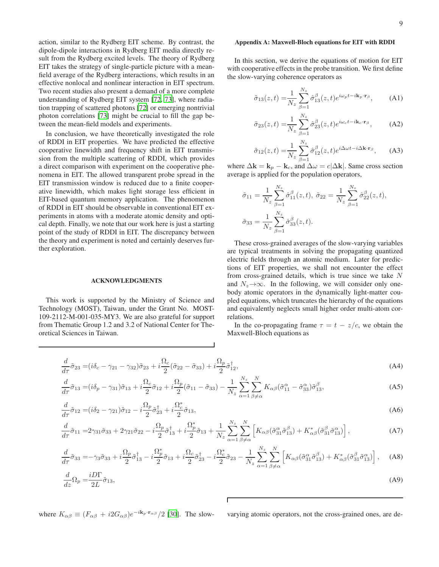action, similar to the Rydberg EIT scheme. By contrast, the dipole-dipole interactions in Rydberg EIT media directly result from the Rydberg excited levels. The theory of Rydberg EIT takes the strategy of single-particle picture with a meanfield average of the Rydberg interactions, which results in an effective nonlocal and nonlinear interaction in EIT spectrum. Two recent studies also present a demand of a more complete understanding of Rydberg EIT system [\[72](#page-11-6), [73\]](#page-11-7), where radiation trapping of scattered photons [\[72\]](#page-11-6) or emerging nontrivial photon correlations [\[73](#page-11-7)] might be crucial to fill the gap between the mean-field models and experiments.

In conclusion, we have theoretically investigated the role of RDDI in EIT properties. We have predicted the effective cooperative linewidth and frequency shift in EIT transmission from the multiple scattering of RDDI, which provides a direct comparison with experiment on the cooperative phenomena in EIT. The allowed transparent probe spread in the EIT transmission window is reduced due to a finite cooperative linewidth, which makes light storage less efficient in EIT-based quantum memory application. The phenomenon of RDDI in EIT should be observable in conventional EIT experiments in atoms with a moderate atomic density and optical depth. Finally, we note that our work here is just a starting point of the study of RDDI in EIT. The discrepancy between the theory and experiment is noted and certainly deserves further exploration.

#### ACKNOWLEDGMENTS

This work is supported by the Ministry of Science and Technology (MOST), Taiwan, under the Grant No. MOST-109-2112-M-001-035-MY3. We are also grateful for support from Thematic Group 1.2 and 3.2 of National Center for Theoretical Sciences in Taiwan.

### Appendix A: Maxwell-Bloch equations for EIT with RDDI

In this section, we derive the equations of motion for EIT with cooperative effects in the probe transition. We first define the slow-varying coherence operators as

$$
\tilde{\sigma}_{13}(z,t) = \frac{1}{N_z} \sum_{\beta=1}^{N_z} \hat{\sigma}_{13}^{\beta}(z,t) e^{i\omega_p t - i\mathbf{k}_p \cdot \mathbf{r}_\beta}, \quad (A1)
$$

$$
\tilde{\sigma}_{23}(z,t) = \frac{1}{N_z} \sum_{\beta=1}^{N_z} \hat{\sigma}_{23}^{\beta}(z,t) e^{i\omega_c t - i\mathbf{k}_c \cdot \mathbf{r}_{\beta}}, \quad (A2)
$$

$$
\tilde{\sigma}_{12}(z,t) = \frac{1}{N_z} \sum_{\beta=1}^{N_z} \hat{\sigma}_{12}^{\beta}(z,t) e^{i\Delta\omega t - i\Delta \mathbf{k} \cdot \mathbf{r}_{\beta}}, \quad \text{(A3)}
$$

where  $\Delta \mathbf{k} = \mathbf{k}_p - \mathbf{k}_c$ , and  $\Delta \omega = c |\Delta \mathbf{k}|$ . Same cross section average is applied for the population operators,

$$
\tilde{\sigma}_{11} = \frac{1}{N_z} \sum_{\beta=1}^{N_z} \hat{\sigma}_{11}^{\beta}(z, t), \ \tilde{\sigma}_{22} = \frac{1}{N_z} \sum_{\beta=1}^{N_z} \hat{\sigma}_{22}^{\beta}(z, t), \n\tilde{\sigma}_{33} = \frac{1}{N_z} \sum_{\beta=1}^{N_z} \hat{\sigma}_{33}^{\beta}(z, t).
$$

These cross-grained averages of the slow-varying variables are typical treatments in solving the propagating quantized electric fields through an atomic medium. Later for predictions of EIT properties, we shall not encounter the effect from cross-grained details, which is true since we take  $N$ and  $N_z \rightarrow \infty$ . In the following, we will consider only onebody atomic operators in the dynamically light-matter coupled equations, which truncates the hierarchy of the equations and equivalently neglects small higher order multi-atom correlations.

In the co-propagating frame  $\tau = t - z/c$ , we obtain the Maxwell-Bloch equations as

<span id="page-8-0"></span>
$$
\frac{d}{d\tau}\tilde{\sigma}_{23} = (i\delta_c - \gamma_{21} - \gamma_{32})\tilde{\sigma}_{23} + i\frac{\Omega_c}{2}(\tilde{\sigma}_{22} - \tilde{\sigma}_{33}) + i\frac{\Omega_p}{2}\tilde{\sigma}_{12}^{\dagger},\tag{A4}
$$

$$
\frac{d}{d\tau}\tilde{\sigma}_{13} = (i\delta_p - \gamma_{31})\tilde{\sigma}_{13} + i\frac{\Omega_c}{2}\tilde{\sigma}_{12} + i\frac{\Omega_p}{2}(\tilde{\sigma}_{11} - \tilde{\sigma}_{33}) - \frac{1}{N_z}\sum_{\alpha=1}^{N_z}\sum_{\beta \neq \alpha}^{N}K_{\alpha\beta}(\tilde{\sigma}_{11}^{\alpha} - \tilde{\sigma}_{33}^{\alpha})\tilde{\sigma}_{13}^{\beta},\tag{A5}
$$

$$
\frac{d}{d\tau}\tilde{\sigma}_{12} = (i\delta_2 - \gamma_{21})\tilde{\sigma}_{12} - i\frac{\Omega_p}{2}\tilde{\sigma}_{23}^{\dagger} + i\frac{\Omega_c^*}{2}\tilde{\sigma}_{13},\tag{A6}
$$

$$
\frac{d}{d\tau}\tilde{\sigma}_{11} = 2\gamma_{31}\tilde{\sigma}_{33} + 2\gamma_{21}\tilde{\sigma}_{22} - i\frac{\Omega_p}{2}\tilde{\sigma}_{13}^{\dagger} + i\frac{\Omega_p^*}{2}\tilde{\sigma}_{13} + \frac{1}{N_z}\sum_{\alpha=1}^{N_z}\sum_{\beta \neq \alpha}^{N} \left[K_{\alpha\beta}(\tilde{\sigma}_{31}^{\alpha}\tilde{\sigma}_{13}^{\beta}) + K_{\alpha\beta}^*(\tilde{\sigma}_{31}^{\beta}\tilde{\sigma}_{13}^{\alpha})\right],\tag{A7}
$$

$$
\frac{d}{d\tau}\tilde{\sigma}_{33} = -\gamma_3 \tilde{\sigma}_{33} + i \frac{\Omega_p}{2} \tilde{\sigma}_{13}^{\dagger} - i \frac{\Omega_p^*}{2} \tilde{\sigma}_{13} + i \frac{\Omega_c}{2} \tilde{\sigma}_{23}^{\dagger} - i \frac{\Omega_c^*}{2} \tilde{\sigma}_{23} - \frac{1}{N_z} \sum_{\alpha=1}^{N_z} \sum_{\beta \neq \alpha}^{N} \left[ K_{\alpha\beta} (\tilde{\sigma}_{31}^{\alpha} \tilde{\sigma}_{13}^{\beta}) + K_{\alpha\beta}^* (\tilde{\sigma}_{31}^{\beta} \tilde{\sigma}_{13}^{\alpha}) \right], \quad (A8)
$$

$$
\frac{d}{dz}\Omega_p = \frac{iD\Gamma}{2L}\tilde{\sigma}_{13},\tag{A9}
$$

where  $K_{\alpha\beta} \equiv (F_{\alpha\beta} + i2G_{\alpha\beta})e^{-i\mathbf{k}_p \cdot \mathbf{r}_{\alpha\beta}}/2$  [30]. The slow-

varying atomic operators, not the cross-grained ones, are de-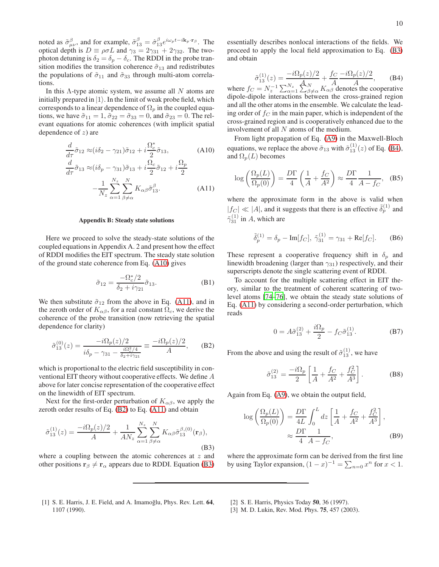noted as  $\tilde{\sigma}_{\mu\nu}^{\beta}$ , and for example,  $\tilde{\sigma}_{13}^{\beta} = \hat{\sigma}_{13}^{\beta} e^{i\omega_p t - i k_p \cdot \mathbf{r}_{\beta}}$ . The optical depth is  $D \equiv \rho \sigma L$  and  $\gamma_3 = 2\gamma_{31} + 2\gamma_{32}$ . The twophoton detuning is  $\delta_2 = \delta_p - \delta_c$ . The RDDI in the probe transition modifies the transition coherence  $\tilde{\sigma}_{13}$  and redistributes the populations of  $\tilde{\sigma}_{11}$  and  $\tilde{\sigma}_{33}$  through multi-atom correlations.

In this  $\Lambda$ -type atomic system, we assume all N atoms are initially prepared in  $|1\rangle$ . In the limit of weak probe field, which corresponds to a linear dependence of  $\Omega_p$  in the coupled equations, we have  $\tilde{\sigma}_{11} = 1$ ,  $\tilde{\sigma}_{22} = \tilde{\sigma}_{33} = 0$ , and  $\tilde{\sigma}_{23} = 0$ . The relevant equations for atomic coherences (with implicit spatial dependence of  $z$ ) are

<span id="page-9-2"></span>
$$
\frac{d}{d\tau}\tilde{\sigma}_{12} \approx (i\delta_2 - \gamma_{21})\tilde{\sigma}_{12} + i\frac{\Omega_c^*}{2}\tilde{\sigma}_{13},\tag{A10}
$$

$$
\frac{d}{d\tau}\tilde{\sigma}_{13} \approx (i\delta_p - \gamma_{31})\tilde{\sigma}_{13} + i\frac{\Omega_c}{2}\tilde{\sigma}_{12} + i\frac{\Omega_p}{2} \n- \frac{1}{N_z} \sum_{\alpha=1}^{N_z} \sum_{\beta \neq \alpha}^{N} K_{\alpha\beta} \tilde{\sigma}_{13}^{\beta}.
$$
\n(A11)

### Appendix B: Steady state solutions

Here we proceed to solve the steady-state solutions of the coupled equations in Appendix A. 2 and present how the effect of RDDI modifies the EIT spectrum. The steady state solution of the ground state coherence from Eq. [\(A10\)](#page-9-2) gives

<span id="page-9-3"></span>
$$
\tilde{\sigma}_{12} = \frac{-\Omega_c^*/2}{\delta_2 + i\gamma_{21}} \tilde{\sigma}_{13}.
$$
 (B1)

We then substitute  $\tilde{\sigma}_{12}$  from the above in Eq. [\(A11\)](#page-9-2), and in the zeroth order of  $K_{\alpha\beta}$ , for a real constant  $\Omega_c$ , we derive the coherence of the probe transition (now retrieving the spatial dependence for clarity)

<span id="page-9-4"></span>
$$
\tilde{\sigma}_{13}^{(0)}(z) = \frac{-i\Omega_p(z)/2}{i\delta_p - \gamma_{31} - \frac{i\Omega_c^2/4}{\delta_2 + i\gamma_{21}}} \equiv \frac{-i\Omega_p(z)/2}{A}, \quad \text{(B2)}
$$

which is proportional to the electric field susceptibility in conventional EIT theory without cooperative effects. We define A above for later concise representation of the cooperative effect on the linewidth of EIT spectrum.

Next for the first-order perturbation of  $K_{\alpha\beta}$ , we apply the zeroth order results of Eq. [\(B2\)](#page-9-4) to Eq. [\(A11\)](#page-9-2) and obtain

<span id="page-9-5"></span>
$$
\tilde{\sigma}_{13}^{(1)}(z) = \frac{-i\Omega_p(z)/2}{A} + \frac{1}{AN_z} \sum_{\alpha=1}^{N_z} \sum_{\beta \neq \alpha}^{N} K_{\alpha\beta} \tilde{\sigma}_{13}^{\beta,(0)}(\mathbf{r}_{\beta}),
$$
\n(B3)

where a coupling between the atomic coherences at  $z$  and other positions  $\mathbf{r}_{\beta} \neq \mathbf{r}_{\alpha}$  appears due to RDDI. Equation [\(B3\)](#page-9-5) essentially describes nonlocal interactions of the fields. We proceed to apply the local field approximation to Eq. [\(B3\)](#page-9-5) and obtain

<span id="page-9-6"></span>
$$
\tilde{\sigma}_{13}^{(1)}(z) = \frac{-i\Omega_p(z)/2}{A_N} + \frac{f_C - i\Omega_p(z)/2}{A}
$$
, (B4)

where  $f_C = N_z^{-1} \sum_{\alpha=1}^{N_z} \sum_{\beta \neq \alpha}^{N} K_{\alpha\beta} A$  denotes the cooperative dipole-dipole interactions between the cross-grained region and all the other atoms in the ensemble. We calculate the leading order of  $f_C$  in the main paper, which is independent of the cross-grained region and is cooperatively enhanced due to the involvement of all N atoms of the medium.

From light propagation of Eq. [\(A9\)](#page-8-0) in the Maxwell-Bloch equations, we replace the above  $\tilde{\sigma}_{13}$  with  $\tilde{\sigma}_{13}^{(1)}(z)$  of Eq. [\(B4\)](#page-9-6), and  $\Omega_p(L)$  becomes

$$
\log\left(\frac{\Omega_p(L)}{\Omega_p(0)}\right) = \frac{D\Gamma}{4}\left(\frac{1}{A} + \frac{f_C}{A^2}\right) \approx \frac{D\Gamma}{4}\frac{1}{A - f_C}, \quad (B5)
$$

where the approximate form in the above is valid when  $|f_C| \ll |A|$ , and it suggests that there is an effective  $\tilde{\delta}_p^{(1)}$  and  $\tilde{\gamma}_{31}^{(1)}$  in A, which are

$$
\tilde{\delta}_p^{(1)} = \delta_p - \text{Im}[f_C], \ \tilde{\gamma}_{31}^{(1)} = \gamma_{31} + \text{Re}[f_C]. \tag{B6}
$$

These represent a cooperative frequency shift in  $\delta_p$  and linewidth broadening (larger than  $\gamma_{31}$ ) respectively, and their superscripts denote the single scattering event of RDDI.

To account for the multiple scattering effect in EIT theory, similar to the treatment of coherent scattering of twolevel atoms [\[74](#page-11-8)[–76\]](#page-11-9), we obtain the steady state solutions of Eq. [\(A11\)](#page-9-2) by considering a second-order perturbation, which reads

$$
0 = A\tilde{\sigma}_{13}^{(2)} + \frac{i\Omega_p}{2} - f_C \tilde{\sigma}_{13}^{(1)}.
$$
 (B7)

From the above and using the result of  $\tilde{\sigma}_{13}^{(1)}$ , we have

$$
\tilde{\sigma}_{13}^{(2)} = \frac{-i\Omega_p}{2} \left[ \frac{1}{A} + \frac{f_C}{A^2} + \frac{f_C^2}{A^3} \right].
$$
 (B8)

Again from Eq. [\(A9\)](#page-8-0), we obtain the output field,

$$
\log\left(\frac{\Omega_p(L)}{\Omega_p(0)}\right) = \frac{D\Gamma}{4L} \int_0^L dz \left[\frac{1}{A} + \frac{f_C}{A^2} + \frac{f_C^2}{A^3}\right],
$$
  

$$
\approx \frac{D\Gamma}{4} \frac{1}{A - f_C},
$$
 (B9)

where the approximate form can be derived from the first line by using Taylor expansion,  $(1-x)^{-1} = \sum_{n=0} x^n$  for  $x < 1$ .

- <span id="page-9-0"></span>[1] S. E. Harris, J. E. Field, and A. Imamoğlu, Phys. Rev. Lett. 64, 1107 (1990).
- [2] S. E. Harris, Physics Today 50, 36 (1997).
- <span id="page-9-1"></span>[3] M. D. Lukin, Rev. Mod. Phys. 75, 457 (2003).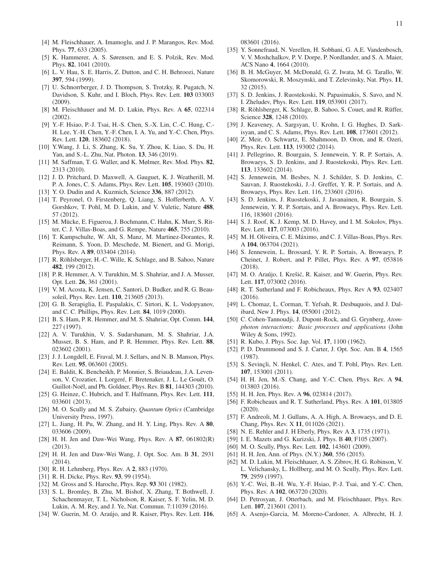- <span id="page-10-0"></span>[4] M. Fleischhauer, A. Imamoglu, and J. P. Marangos, Rev. Mod. Phys. 77, 633 (2005).
- <span id="page-10-1"></span>[5] K. Hammerer, A. S. Sørensen, and E. S. Polzik, Rev. Mod. Phys. 82, 1041 (2010).
- <span id="page-10-2"></span>[6] L. V. Hau, S. E. Harris, Z. Dutton, and C. H. Behroozi, Nature 397, 594 (1999).
- <span id="page-10-3"></span>[7] U. Schnorrberger, J. D. Thompson, S. Trotzky, R. Pugatch, N. Davidson, S. Kuhr, and I. Bloch, Phys. Rev. Lett. 103 033003 (2009).
- <span id="page-10-4"></span>[8] M. Fleischhauer and M. D. Lukin, Phys. Rev. A 65, 022314 (2002).
- <span id="page-10-5"></span>[9] Y.-F. Hsiao, P.-J. Tsai, H.-S. Chen, S.-X. Lin, C.-C. Hung, C.- H. Lee, Y.-H. Chen, Y.-F. Chen, I. A. Yu, and Y.-C. Chen, Phys. Rev. Lett. 120, 183602 (2018).
- <span id="page-10-6"></span>[10] Y.Wang, J. Li, S. Zhang, K. Su, Y. Zhou, K. Liao, S. Du, H. Yan, and S.-L. Zhu, Nat. Photon. 13, 346 (2019).
- <span id="page-10-7"></span>[11] M. Saffman, T. G. Waller, and K. Mølmer, Rev. Mod. Phys. 82, 2313 (2010).
- <span id="page-10-42"></span>[12] J. D. Pritchard, D. Maxwell, A. Gauguet, K. J. Weatherill, M. P. A. Jones, C. S. Adams, Phys. Rev. Lett. 105, 193603 (2010).
- [13] Y. O. Dudin and A. Kuzmich, Science 336, 887 (2012).
- <span id="page-10-8"></span>[14] T. Peyronel, O. Firstenberg, Q. Liang, S. Hofferberth, A. V. Gorshkov, T. Pohl, M. D. Lukin, and V. Vuletic, Nature 488, 57 (2012).
- <span id="page-10-9"></span>[15] M. Mücke, E. Figueroa, J. Bochmann, C. Hahn, K. Murr, S. Ritter, C. J. Villas-Boas, and G. Rempe, Nature 465, 755 (2010).
- <span id="page-10-10"></span>[16] T. Kampschulte, W. Alt, S. Manz, M. Martinez-Dorantes, R. Reimann, S. Yoon, D. Meschede, M. Bienert, and G. Morigi, Phys. Rev. A 89, 033404 (2014).
- <span id="page-10-11"></span>[17] R. Röhlsberger, H.-C. Wille, K. Schlage, and B. Sahoo, Nature 482, 199 (2012).
- <span id="page-10-12"></span>[18] P. R. Hemmer, A. V. Turukhin, M. S. Shahriar, and J. A. Musser, Opt. Lett. 26, 361 (2001).
- <span id="page-10-13"></span>[19] V. M. Acosta, K. Jensen, C. Santori, D. Budker, and R. G. Beausoleil, Phys. Rev. Lett. 110, 213605 (2013).
- <span id="page-10-14"></span>[20] G. B. Serapiglia, E. Paspalakis, C. Sirtori, K. L. Vodopyanov, and C. C. Phillips, Phys. Rev. Lett. 84, 1019 (2000).
- <span id="page-10-15"></span>[21] B. S. Ham, P. R. Hemmer, and M. S. Shahriar, Opt. Comm. 144, 227 (1997).
- [22] A. V. Turukhin, V. S. Sudarshanam, M. S. Shahriar, J.A. Musser, B. S. Ham, and P. R. Hemmer, Phys. Rev. Lett. 88, 023602 (2001).
- [23] J. J. Longdell, E. Fraval, M. J. Sellars, and N. B. Manson, Phys. Rev. Lett. 95, 063601 (2005).
- [24] E. Baldit, K. Bencheikh, P. Monnier, S. Briaudeau, J.A. Levenson, V. Crozatier, I. Lorgeré, F. Bretenaker, J. L. Le Gouët, O. Guillot-Noël, and Ph. Goldner, Phys. Rev. B 81, 144303 (2010).
- <span id="page-10-16"></span>[25] G. Heinze, C. Hubrich, and T. Halfmann, Phys. Rev. Lett. 111, 033601 (2013).
- <span id="page-10-17"></span>[26] M. O. Scully and M. S. Zubairy, *Quantum Optics* (Cambridge University Press, 1997).
- <span id="page-10-18"></span>[27] L. Jiang, H. Pu, W. Zhang, and H. Y. Ling, Phys. Rev. A 80, 033606 (2009).
- <span id="page-10-19"></span>[28] H. H. Jen and Daw-Wei Wang, Phys. Rev. A 87, 061802(R) (2013).
- <span id="page-10-20"></span>[29] H. H. Jen and Daw-Wei Wang, J. Opt. Soc. Am. B 31, 2931 (2014).
- <span id="page-10-21"></span>[30] R. H. Lehmberg, Phys. Rev. A 2, 883 (1970).
- <span id="page-10-22"></span>[31] R. H. Dicke, Phys. Rev. 93, 99 (1954).
- <span id="page-10-23"></span>[32] M. Gross and S. Haroche, Phys. Rep. 93 301 (1982).
- <span id="page-10-24"></span>[33] S. L. Bromley, B. Zhu, M. Bishof, X. Zhang, T. Bothwell, J. Schachenmayer, T. L. Nicholson, R. Kaiser, S. F. Yelin, M. D. Lukin, A. M. Rey, and J. Ye, Nat. Commun. 7:11039 (2016).
- <span id="page-10-25"></span>[34] W. Guerin, M. O. Araújo, and R. Kaiser, Phys. Rev. Lett. 116,

083601 (2016).

- <span id="page-10-26"></span>[35] Y. Sonnefraud, N. Verellen, H. Sobhani, G. A.E. Vandenbosch, V. V. Moshchalkov, P. V. Dorpe, P. Nordlander, and S. A. Maier, ACS Nano 4, 1664 (2010).
- <span id="page-10-27"></span>[36] B. H. McGuyer, M. McDonald, G. Z. Iwata, M. G. Tarallo, W. Skomorowski, R. Moszynski, and T. Zelevinsky, Nat. Phys. 11, 32 (2015).
- <span id="page-10-28"></span>[37] S. D. Jenkins, J. Ruostekoski, N. Papasimakis, S. Savo, and N. I. Zheludev, Phys. Rev. Lett. 119, 053901 (2017).
- <span id="page-10-29"></span>[38] R. Röhlsberger, K. Schlage, B. Sahoo, S. Couet, and R. Rüffer, Science 328, 1248 (2010).
- <span id="page-10-30"></span>[39] J. Keaveney, A. Sargsyan, U. Krohn, I. G. Hughes, D. Sarkisyan, and C. S. Adams, Phys. Rev. Lett. 108, 173601 (2012).
- <span id="page-10-31"></span>[40] Z. Meir, O. Schwartz, E. Shahmoon, D. Oron, and R. Ozeri, Phys. Rev. Lett. 113, 193002 (2014).
- <span id="page-10-32"></span>[41] J. Pellegrino, R. Bourgain, S. Jennewein, Y. R. P. Sortais, A. Browaeys, S. D. Jenkins, and J. Ruostekoski, Phys. Rev. Lett. 113, 133602 (2014).
- <span id="page-10-57"></span>[42] S. Jennewein, M. Besbes, N. J. Schilder, S. D. Jenkins, C. Sauvan, J. Ruostekoski, J.-J. Greffet, Y. R. P. Sortais, and A. Browaeys, Phys. Rev. Lett. 116, 233601 (2016).
- <span id="page-10-48"></span>[43] S. D. Jenkins, J. Ruostekoski, J. Javanainen, R. Bourgain, S. Jennewein, Y. R. P. Sortais, and A. Browaeys, Phys. Rev. Lett. 116, 183601 (2016).
- <span id="page-10-33"></span>[44] S. J. Roof, K. J. Kemp, M. D. Havey, and I. M. Sokolov, Phys. Rev. Lett. 117, 073003 (2016).
- <span id="page-10-34"></span>[45] M. H. Oliveira, C. E. Máximo, and C. J. Villas-Boas, Phys. Rev. A 104, 063704 (2021).
- <span id="page-10-35"></span>[46] S. Jennewein, L. Brossard, Y. R. P. Sortais, A. Browaeys, P. Cheinet, J. Robert, and P. Pillet, Phys. Rev. A 97, 053816 (2018).
- <span id="page-10-36"></span>[47] M. O. Araújo, I. Krešić, R. Kaiser, and W. Guerin, Phys. Rev. Lett. 117, 073002 (2016).
- <span id="page-10-37"></span>[48] R. T. Sutherland and F. Robicheaux, Phys. Rev A 93, 023407 (2016).
- <span id="page-10-38"></span>[49] L. Chomaz, L. Corman, T. Yefsah, R. Desbuquois, and J. Dalibard, New J. Phys. 14, 055001 (2012).
- <span id="page-10-39"></span>[50] C. Cohen-Tannoudji, J. Dupont-Rock, and G. Grynberg, *Atomphoton interactions: Basic processes and applications* (John Wiley & Sons, 1992).
- <span id="page-10-40"></span>[51] R. Kubo, J. Phys. Soc. Jap. Vol. 17, 1100 (1962).
- <span id="page-10-41"></span>[52] P. D. Drummond and S. J. Carter, J. Opt. Soc. Am. B 4, 1565 (1987).
- <span id="page-10-43"></span>[53] S. Sevinçli, N. Henkel, C. Ates, and T. Pohl, Phys. Rev. Lett. 107, 153001 (2011).
- <span id="page-10-44"></span>[54] H. H. Jen, M.-S. Chang, and Y.-C. Chen, Phys. Rev. A 94, 013803 (2016).
- <span id="page-10-45"></span>[55] H. H. Jen, Phys. Rev. A **96**, 023814 (2017).
- <span id="page-10-46"></span>[56] F. Robicheaux and R. T. Sutherland, Phys. Rev. A 101, 013805 (2020).
- <span id="page-10-47"></span>[57] F. Andreoli, M. J. Gullans, A. A. High, A. Browaeys, and D. E. Chang, Phys. Rev. X 11, 011026 (2021).
- <span id="page-10-49"></span>[58] N. E. Rehler and J. H Eberly, Phys. Rev A 3, 1735 (1971).
- <span id="page-10-50"></span>[59] I. E. Mazets and G. Kurizski, J. Phys. B 40, F105 (2007).
- <span id="page-10-51"></span>[60] M. O. Scully, Phys. Rev. Lett. **102**, 143601 (2009).
- <span id="page-10-52"></span>[61] H. H. Jen, Ann. of Phys. (N.Y.) **360**, 556 (2015).
- <span id="page-10-53"></span>[62] M. D. Lukin, M. Fleischhauer, A. S. Zibrov, H. G. Robinson, V. L. Velichansky, L. Hollberg, and M. O. Scully, Phys. Rev. Lett. 79, 2959 (1997).
- <span id="page-10-54"></span>[63] Y.-C. Wei, B.-H. Wu, Y.-F. Hsiao, P.-J. Tsai, and Y.-C. Chen, Phys. Rev. A 102, 063720 (2020).
- <span id="page-10-55"></span>[64] D. Petrosyan, J. Otterbach, and M. Fleischhauer, Phys. Rev. Lett. 107, 213601 (2011).
- <span id="page-10-56"></span>[65] A. Asenjo-Garcia, M. Moreno-Cardoner, A. Albrecht, H. J.